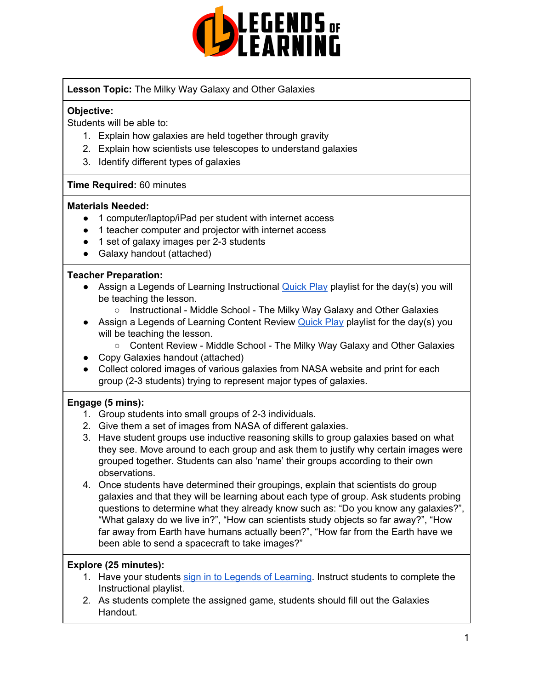

**Lesson Topic:** The Milky Way Galaxy and Other Galaxies

## **Objective:**

Students will be able to:

- 1. Explain how galaxies are held together through gravity
- 2. Explain how scientists use telescopes to understand galaxies
- 3. Identify different types of galaxies

### **Time Required:** 60 minutes

### **Materials Needed:**

- 1 computer/laptop/iPad per student with internet access
- 1 teacher computer and projector with internet access
- 1 set of galaxy images per 2-3 students
- Galaxy handout (attached)

### **Teacher Preparation:**

- Assign a Legends of Learning Instructional **[Quick](https://intercom.help/legends-of-learning/en/articles/2701866-assigning-a-quick-play-playlist) Play playlist for the day(s)** you will be teaching the lesson.
	- Instructional Middle School The Milky Way Galaxy and Other Galaxies
- Assign a Legends of Learning Content Review [Quick](https://intercom.help/legends-of-learning/en/articles/2701866-assigning-a-quick-play-playlist) Play playlist for the day(s) you will be teaching the lesson.
	- Content Review Middle School The Milky Way Galaxy and Other Galaxies
- Copy Galaxies handout (attached)
- Collect colored images of various galaxies from NASA website and print for each group (2-3 students) trying to represent major types of galaxies.

### **Engage (5 mins):**

- 1. Group students into small groups of 2-3 individuals.
- 2. Give them a set of images from NASA of different galaxies.
- 3. Have student groups use inductive reasoning skills to group galaxies based on what they see. Move around to each group and ask them to justify why certain images were grouped together. Students can also 'name' their groups according to their own observations.
- 4. Once students have determined their groupings, explain that scientists do group galaxies and that they will be learning about each type of group. Ask students probing questions to determine what they already know such as: "Do you know any galaxies?", "What galaxy do we live in?", "How can scientists study objects so far away?", "How far away from Earth have humans actually been?", "How far from the Earth have we been able to send a spacecraft to take images?"

## **Explore (25 minutes):**

- 1. Have your students sign in to Legends of [Learning](https://intercom.help/legends-of-learning/en/articles/2154920-students-joining-a-playlist). Instruct students to complete the Instructional playlist.
- 2. As students complete the assigned game, students should fill out the Galaxies Handout.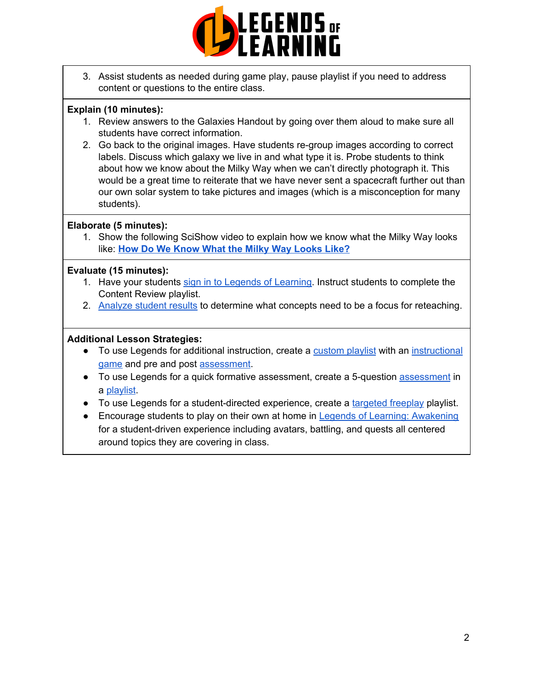

3. Assist students as needed during game play, pause playlist if you need to address content or questions to the entire class.

## **Explain (10 minutes):**

- 1. Review answers to the Galaxies Handout by going over them aloud to make sure all students have correct information.
- 2. Go back to the original images. Have students re-group images according to correct labels. Discuss which galaxy we live in and what type it is. Probe students to think about how we know about the Milky Way when we can't directly photograph it. This would be a great time to reiterate that we have never sent a spacecraft further out than our own solar system to take pictures and images (which is a misconception for many students).

# **Elaborate (5 minutes):**

1. Show the following SciShow video to explain how we know what the Milky Way looks like: **How Do We Know What the Milky Way [Looks](https://www.youtube.com/watch?v=OSDZjz0YZTE) Like?**

# **Evaluate (15 minutes):**

- 1. Have your students sign in to Legends of [Learning](https://intercom.help/legends-of-learning/en/articles/2154920-students-joining-a-playlist). Instruct students to complete the Content Review playlist.
- 2. [Analyze](https://intercom.help/legends-of-learning/en/articles/2154918-tracking-student-progress-and-performance) student results to determine what concepts need to be a focus for reteaching.

# **Additional Lesson Strategies:**

- To use Legends for additional instruction, create a [custom](https://intercom.help/legends-of-learning/en/articles/2154910-creating-a-playlist) playlist with an [instructional](https://intercom.help/legends-of-learning/en/articles/3505828-types-of-games) [game](https://intercom.help/legends-of-learning/en/articles/3505828-types-of-games) and pre and post [assessment](https://intercom.help/legends-of-learning/en/articles/2154913-adding-assessments-to-a-playlist).
- To use Legends for a quick formative [assessment](https://intercom.help/legends-of-learning/en/articles/2154913-adding-assessments-to-a-playlist), create a 5-question assessment in a [playlist](https://intercom.help/legends-of-learning/en/articles/2154910-creating-a-playlist).
- To use Legends for a student-directed experience, create a [targeted](https://intercom.help/legends-of-learning/en/articles/3340814-targeted-freeplay) freeplay playlist.
- Encourage students to play on their own at home in Legends of Learning: [Awakening](https://intercom.help/legends-of-learning/en/articles/2425490-legends-of-learning-awakening) for a student-driven experience including avatars, battling, and quests all centered around topics they are covering in class.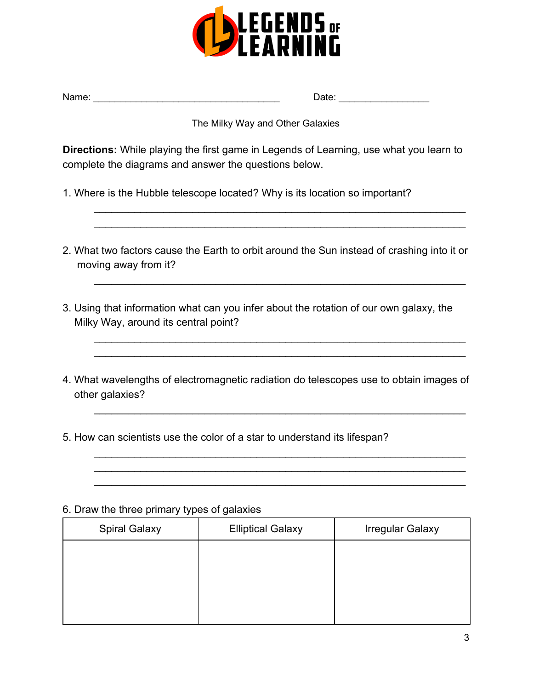

| Name: | Date: |  |
|-------|-------|--|
|       |       |  |

## The Milky Way and Other Galaxies

**Directions:** While playing the first game in Legends of Learning, use what you learn to complete the diagrams and answer the questions below.

- 1. Where is the Hubble telescope located? Why is its location so important?
- 2. What two factors cause the Earth to orbit around the Sun instead of crashing into it or moving away from it?

\_\_\_\_\_\_\_\_\_\_\_\_\_\_\_\_\_\_\_\_\_\_\_\_\_\_\_\_\_\_\_\_\_\_\_\_\_\_\_\_\_\_\_\_\_\_\_\_\_\_\_\_\_\_\_\_\_\_\_\_\_\_\_\_ \_\_\_\_\_\_\_\_\_\_\_\_\_\_\_\_\_\_\_\_\_\_\_\_\_\_\_\_\_\_\_\_\_\_\_\_\_\_\_\_\_\_\_\_\_\_\_\_\_\_\_\_\_\_\_\_\_\_\_\_\_\_\_\_

\_\_\_\_\_\_\_\_\_\_\_\_\_\_\_\_\_\_\_\_\_\_\_\_\_\_\_\_\_\_\_\_\_\_\_\_\_\_\_\_\_\_\_\_\_\_\_\_\_\_\_\_\_\_\_\_\_\_\_\_\_\_\_\_

\_\_\_\_\_\_\_\_\_\_\_\_\_\_\_\_\_\_\_\_\_\_\_\_\_\_\_\_\_\_\_\_\_\_\_\_\_\_\_\_\_\_\_\_\_\_\_\_\_\_\_\_\_\_\_\_\_\_\_\_\_\_\_\_ \_\_\_\_\_\_\_\_\_\_\_\_\_\_\_\_\_\_\_\_\_\_\_\_\_\_\_\_\_\_\_\_\_\_\_\_\_\_\_\_\_\_\_\_\_\_\_\_\_\_\_\_\_\_\_\_\_\_\_\_\_\_\_\_

\_\_\_\_\_\_\_\_\_\_\_\_\_\_\_\_\_\_\_\_\_\_\_\_\_\_\_\_\_\_\_\_\_\_\_\_\_\_\_\_\_\_\_\_\_\_\_\_\_\_\_\_\_\_\_\_\_\_\_\_\_\_\_\_

\_\_\_\_\_\_\_\_\_\_\_\_\_\_\_\_\_\_\_\_\_\_\_\_\_\_\_\_\_\_\_\_\_\_\_\_\_\_\_\_\_\_\_\_\_\_\_\_\_\_\_\_\_\_\_\_\_\_\_\_\_\_\_\_ \_\_\_\_\_\_\_\_\_\_\_\_\_\_\_\_\_\_\_\_\_\_\_\_\_\_\_\_\_\_\_\_\_\_\_\_\_\_\_\_\_\_\_\_\_\_\_\_\_\_\_\_\_\_\_\_\_\_\_\_\_\_\_\_ \_\_\_\_\_\_\_\_\_\_\_\_\_\_\_\_\_\_\_\_\_\_\_\_\_\_\_\_\_\_\_\_\_\_\_\_\_\_\_\_\_\_\_\_\_\_\_\_\_\_\_\_\_\_\_\_\_\_\_\_\_\_\_\_

- 3. Using that information what can you infer about the rotation of our own galaxy, the Milky Way, around its central point?
- 4. What wavelengths of electromagnetic radiation do telescopes use to obtain images of other galaxies?
- 5. How can scientists use the color of a star to understand its lifespan?

|  |  |  |  |  |  | 6. Draw the three primary types of galaxies |
|--|--|--|--|--|--|---------------------------------------------|
|--|--|--|--|--|--|---------------------------------------------|

| <b>Spiral Galaxy</b> | <b>Elliptical Galaxy</b> | <b>Irregular Galaxy</b> |
|----------------------|--------------------------|-------------------------|
|                      |                          |                         |
|                      |                          |                         |
|                      |                          |                         |
|                      |                          |                         |